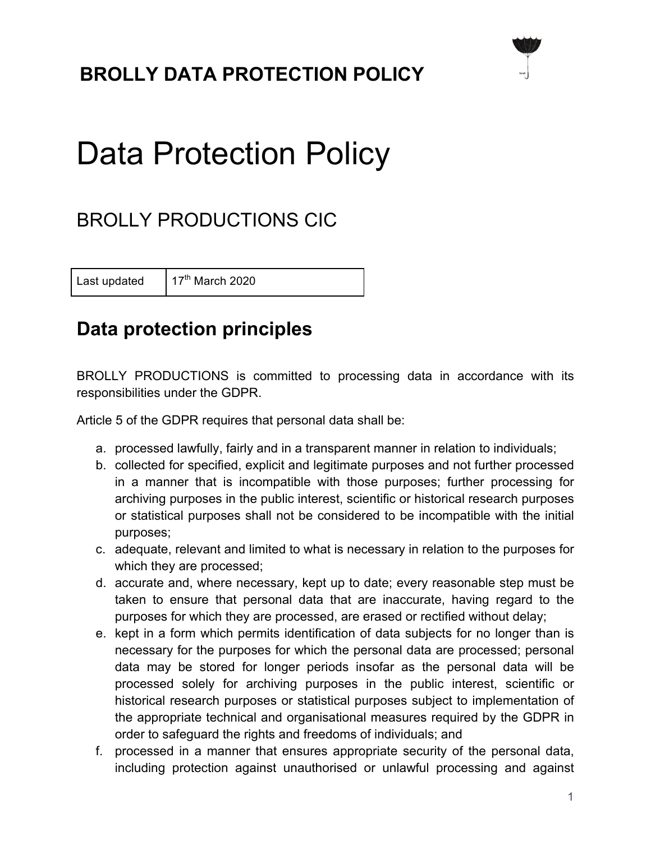## **BROLLY DATA PROTECTION POLICY**



# Data Protection Policy

## BROLLY PRODUCTIONS CIC

Last updated  $17<sup>th</sup>$  March 2020

#### **Data protection principles**

BROLLY PRODUCTIONS is committed to processing data in accordance with its responsibilities under the GDPR.

Article 5 of the GDPR requires that personal data shall be:

- a. processed lawfully, fairly and in a transparent manner in relation to individuals;
- b. collected for specified, explicit and legitimate purposes and not further processed in a manner that is incompatible with those purposes; further processing for archiving purposes in the public interest, scientific or historical research purposes or statistical purposes shall not be considered to be incompatible with the initial purposes;
- c. adequate, relevant and limited to what is necessary in relation to the purposes for which they are processed;
- d. accurate and, where necessary, kept up to date; every reasonable step must be taken to ensure that personal data that are inaccurate, having regard to the purposes for which they are processed, are erased or rectified without delay;
- e. kept in a form which permits identification of data subjects for no longer than is necessary for the purposes for which the personal data are processed; personal data may be stored for longer periods insofar as the personal data will be processed solely for archiving purposes in the public interest, scientific or historical research purposes or statistical purposes subject to implementation of the appropriate technical and organisational measures required by the GDPR in order to safeguard the rights and freedoms of individuals; and
- f. processed in a manner that ensures appropriate security of the personal data, including protection against unauthorised or unlawful processing and against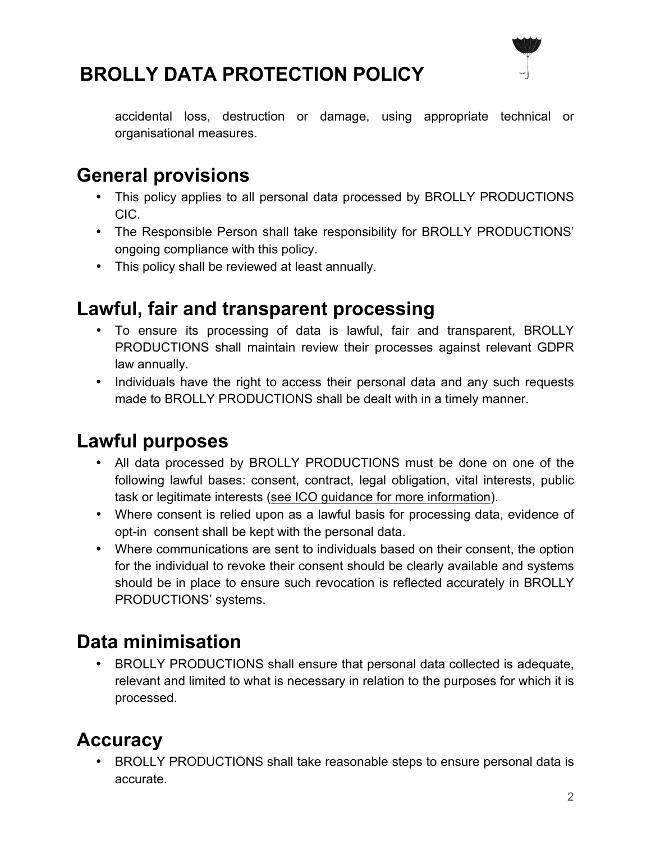

## **BROLLY DATA PROTECTION POLICY**

accidental loss, destruction or damage, using appropriate technical or organisational measures.

#### **General provisions**

- This policy applies to all personal data processed by BROLLY PRODUCTIONS CIC.
- The Responsible Person shall take responsibility for BROLLY PRODUCTIONS' ongoing compliance with this policy.
- This policy shall be reviewed at least annually.

#### **Lawful, fair and transparent processing**

- To ensure its processing of data is lawful, fair and transparent, BROLLY PRODUCTIONS shall maintain review their processes against relevant GDPR law annually.
- Individuals have the right to access their personal data and any such requests made to BROLLY PRODUCTIONS shall be dealt with in a timely manner.

#### **Lawful purposes**

- All data processed by BROLLY PRODUCTIONS must be done on one of the following lawful bases: consent, contract, legal obligation, vital interests, public task or legitimate interests (see ICO guidance for more information).
- Where consent is relied upon as a lawful basis for processing data, evidence of opt-in consent shall be kept with the personal data.
- Where communications are sent to individuals based on their consent, the option for the individual to revoke their consent should be clearly available and systems should be in place to ensure such revocation is reflected accurately in BROLLY PRODUCTIONS' systems.

#### **Data minimisation**

• BROLLY PRODUCTIONS shall ensure that personal data collected is adequate, relevant and limited to what is necessary in relation to the purposes for which it is processed.

## **Accuracy**

• BROLLY PRODUCTIONS shall take reasonable steps to ensure personal data is accurate.